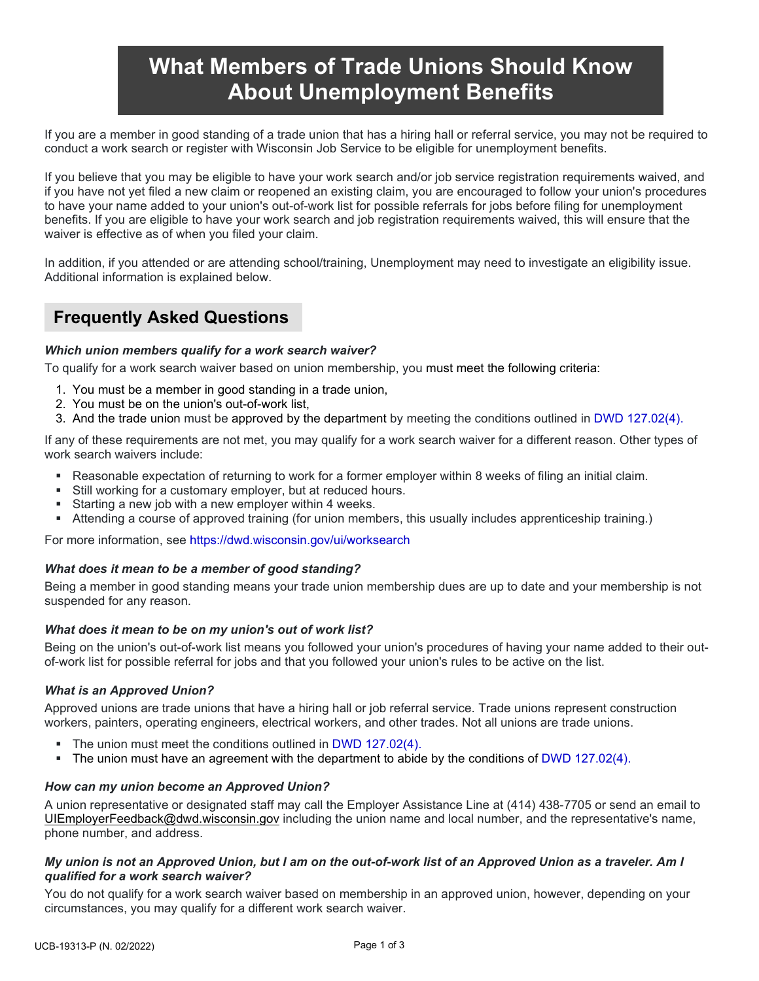# **What Members of Trade Unions Should Know About Unemployment Benefits**

If you are a member in good standing of a trade union that has a hiring hall or referral service, you may not be required to conduct a work search or register with Wisconsin Job Service to be eligible for unemployment benefits.

If you believe that you may be eligible to have your work search and/or job service registration requirements waived, and if you have not yet filed a new claim or reopened an existing claim, you are encouraged to follow your union's procedures to have your name added to your union's out-of-work list for possible referrals for jobs before filing for unemployment benefits. If you are eligible to have your work search and job registration requirements waived, this will ensure that the waiver is effective as of when you filed your claim.

In addition, if you attended or are attending school/training, Unemployment may need to investigate an eligibility issue. Additional information is explained below.

# **Frequently Asked Questions**

# *Which union members qualify for a work search waiver?*

To qualify for a work search waiver based on union membership, you must meet the following criteria:

- 1. You must be a member in good standing in a trade union,
- 2. You must be on the union's out-of-work list,
- 3. And the trade union must be approved by the department by meeting the conditions outlined in [DWD 127.02\(4\).](https://docs.legis.wisconsin.gov/document/administrativecode/DWD%20127.02(4))

If any of these requirements are not met, you may qualify for a work search waiver for a different reason. Other types of work search waivers include:

- Reasonable expectation of returning to work for a former employer within 8 weeks of filing an initial claim.
- Still working for a customary employer, but at reduced hours.
- Starting a new job with a new employer within 4 weeks.
- Attending a course of approved training (for union members, this usually includes apprenticeship training.)

For more information, see<https://dwd.wisconsin.gov/ui/worksearch>

#### *What does it mean to be a member of good standing?*

Being a member in good standing means your trade union membership dues are up to date and your membership is not suspended for any reason.

#### *What does it mean to be on my union's out of work list?*

Being on the union's out-of-work list means you followed your union's procedures of having your name added to their outof-work list for possible referral for jobs and that you followed your union's rules to be active on the list.

#### *What is an Approved Union?*

Approved unions are trade unions that have a hiring hall or job referral service. Trade unions represent construction workers, painters, operating engineers, electrical workers, and other trades. Not all unions are trade unions.

- The union must meet the conditions outlined in [DWD 127.02\(4\).](https://docs.legis.wisconsin.gov/document/administrativecode/DWD%20127.02(4))
- The union must have an agreement with the department to abide by the conditions of [DWD 127.02\(4\).](https://docs.legis.wisconsin.gov/document/administrativecode/DWD%20127.02(4))

#### *How can my union become an Approved Union?*

A union representative or designated staff may call the Employer Assistance Line at (414) 438-7705 or send an email to [UIEmployerFeedback@dwd.wisconsin.gov](mailto:UIEmployerFeedback@dwd.wisconsin.gov) including the union name and local number, and the representative's name, phone number, and address.

# *My union is not an Approved Union, but I am on the out-of-work list of an Approved Union as a traveler. Am I qualified for a work search waiver?*

You do not qualify for a work search waiver based on membership in an approved union, however, depending on your circumstances, you may qualify for a different work search waiver.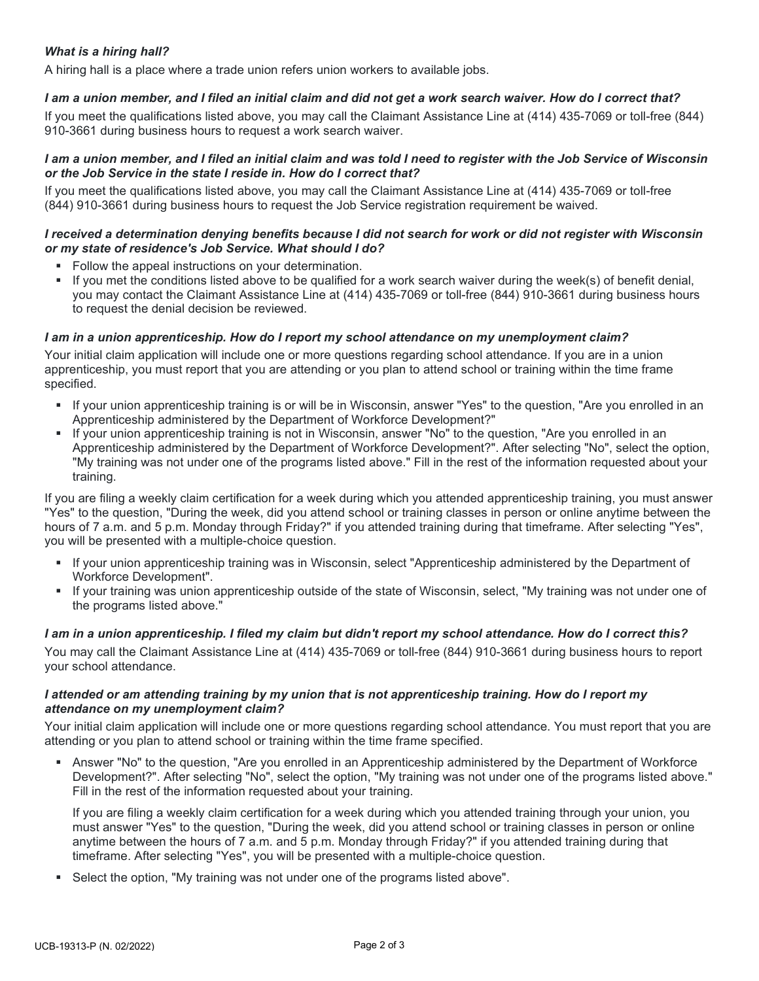# *What is a hiring hall?*

A hiring hall is a place where a trade union refers union workers to available jobs.

#### *I am a union member, and I filed an initial claim and did not get a work search waiver. How do I correct that?*

If you meet the qualifications listed above, you may call the Claimant Assistance Line at (414) 435-7069 or toll-free (844) 910-3661 during business hours to request a work search waiver.

#### *I am a union member, and I filed an initial claim and was told I need to register with the Job Service of Wisconsin or the Job Service in the state I reside in. How do I correct that?*

If you meet the qualifications listed above, you may call the Claimant Assistance Line at (414) 435-7069 or toll-free (844) 910-3661 during business hours to request the Job Service registration requirement be waived.

#### *I received a determination denying benefits because I did not search for work or did not register with Wisconsin or my state of residence's Job Service. What should I do?*

- **Follow the appeal instructions on your determination.**
- If you met the conditions listed above to be qualified for a work search waiver during the week(s) of benefit denial, you may contact the Claimant Assistance Line at (414) 435-7069 or toll-free (844) 910-3661 during business hours to request the denial decision be reviewed.

## *I am in a union apprenticeship. How do I report my school attendance on my unemployment claim?*

Your initial claim application will include one or more questions regarding school attendance. If you are in a union apprenticeship, you must report that you are attending or you plan to attend school or training within the time frame specified.

- If your union apprenticeship training is or will be in Wisconsin, answer "Yes" to the question, "Are you enrolled in an Apprenticeship administered by the Department of Workforce Development?"
- If your union apprenticeship training is not in Wisconsin, answer "No" to the question, "Are you enrolled in an Apprenticeship administered by the Department of Workforce Development?". After selecting "No", select the option, "My training was not under one of the programs listed above." Fill in the rest of the information requested about your training.

If you are filing a weekly claim certification for a week during which you attended apprenticeship training, you must answer "Yes" to the question, "During the week, did you attend school or training classes in person or online anytime between the hours of 7 a.m. and 5 p.m. Monday through Friday?" if you attended training during that timeframe. After selecting "Yes", you will be presented with a multiple-choice question.

- If your union apprenticeship training was in Wisconsin, select "Apprenticeship administered by the Department of Workforce Development".
- If your training was union apprenticeship outside of the state of Wisconsin, select, "My training was not under one of the programs listed above."

#### *I am in a union apprenticeship. I filed my claim but didn't report my school attendance. How do I correct this?*

You may call the Claimant Assistance Line at (414) 435-7069 or toll-free (844) 910-3661 during business hours to report your school attendance.

## *I attended or am attending training by my union that is not apprenticeship training. How do I report my attendance on my unemployment claim?*

Your initial claim application will include one or more questions regarding school attendance. You must report that you are attending or you plan to attend school or training within the time frame specified.

 Answer "No" to the question, "Are you enrolled in an Apprenticeship administered by the Department of Workforce Development?". After selecting "No", select the option, "My training was not under one of the programs listed above." Fill in the rest of the information requested about your training.

If you are filing a weekly claim certification for a week during which you attended training through your union, you must answer "Yes" to the question, "During the week, did you attend school or training classes in person or online anytime between the hours of 7 a.m. and 5 p.m. Monday through Friday?" if you attended training during that timeframe. After selecting "Yes", you will be presented with a multiple-choice question.

Select the option, "My training was not under one of the programs listed above".